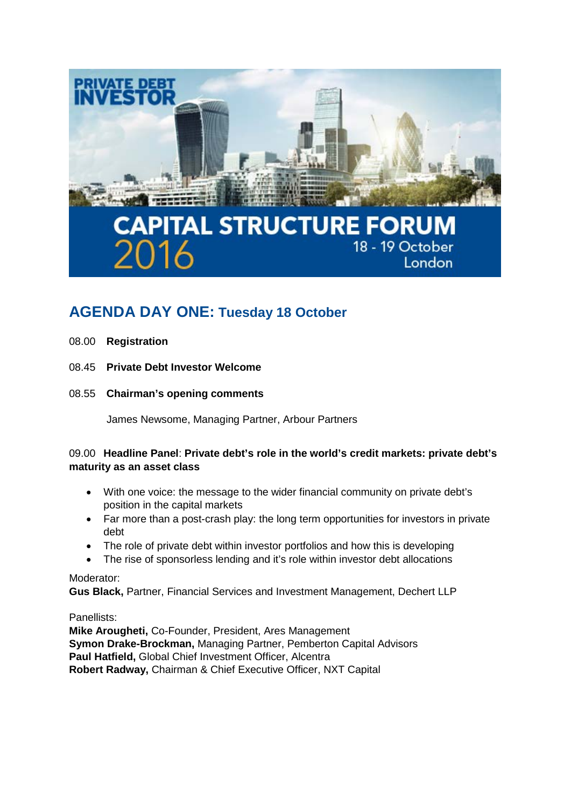

# **AGENDA DAY ONE: Tuesday 18 October**

- 08.00 **Registration**
- 08.45 **Private Debt Investor Welcome**
- 08.55 **Chairman's opening comments**

James Newsome, Managing Partner, Arbour Partners

# 09.00 **Headline Panel**: **Private debt's role in the world's credit markets: private debt's maturity as an asset class**

- With one voice: the message to the wider financial community on private debt's position in the capital markets
- Far more than a post-crash play: the long term opportunities for investors in private debt
- The role of private debt within investor portfolios and how this is developing
- The rise of sponsorless lending and it's role within investor debt allocations

#### Moderator:

**Gus Black,** Partner, Financial Services and Investment Management, Dechert LLP

#### Panellists:

**Mike Arougheti,** Co-Founder, President, Ares Management **Symon Drake-Brockman,** Managing Partner, Pemberton Capital Advisors **Paul Hatfield,** Global Chief Investment Officer, Alcentra **Robert Radway,** Chairman & Chief Executive Officer, NXT Capital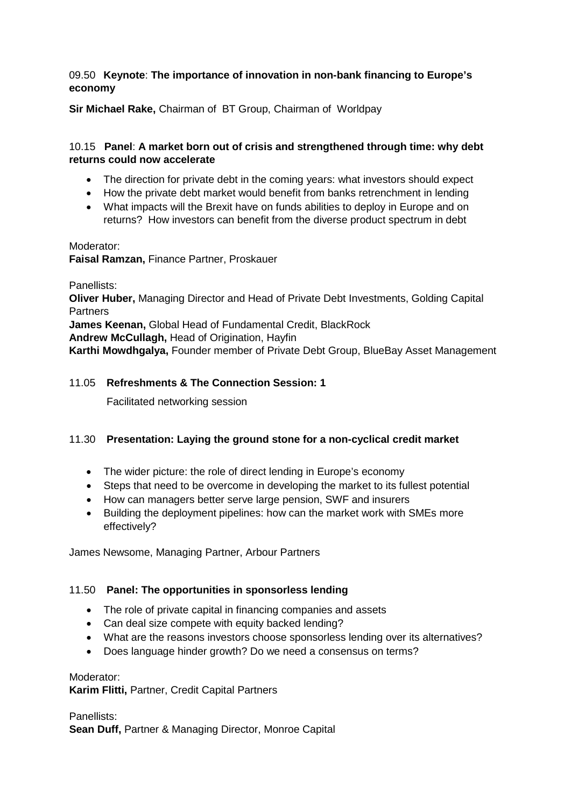# 09.50 **Keynote**: **The importance of innovation in non-bank financing to Europe's economy**

**Sir Michael Rake,** Chairman of BT Group, Chairman of Worldpay

# 10.15 **Panel**: **A market born out of crisis and strengthened through time: why debt returns could now accelerate**

- The direction for private debt in the coming years: what investors should expect
- How the private debt market would benefit from banks retrenchment in lending
- What impacts will the Brexit have on funds abilities to deploy in Europe and on returns? How investors can benefit from the diverse product spectrum in debt

Moderator:

**Faisal Ramzan,** Finance Partner, Proskauer

Panellists: **Oliver Huber,** Managing Director and Head of Private Debt Investments, Golding Capital **Partners James Keenan,** Global Head of Fundamental Credit, BlackRock **Andrew McCullagh,** Head of Origination, Hayfin **Karthi Mowdhgalya,** Founder member of Private Debt Group, BlueBay Asset Management

# 11.05 **Refreshments & The Connection Session: 1**

Facilitated networking session

#### 11.30 **Presentation: Laying the ground stone for a non-cyclical credit market**

- The wider picture: the role of direct lending in Europe's economy
- Steps that need to be overcome in developing the market to its fullest potential
- How can managers better serve large pension, SWF and insurers
- Building the deployment pipelines: how can the market work with SMEs more effectively?

James Newsome, Managing Partner, Arbour Partners

#### 11.50 **Panel: The opportunities in sponsorless lending**

- The role of private capital in financing companies and assets
- Can deal size compete with equity backed lending?
- What are the reasons investors choose sponsorless lending over its alternatives?
- Does language hinder growth? Do we need a consensus on terms?

Moderator:

**Karim Flitti,** Partner, Credit Capital Partners

Panellists: **Sean Duff,** Partner & Managing Director, Monroe Capital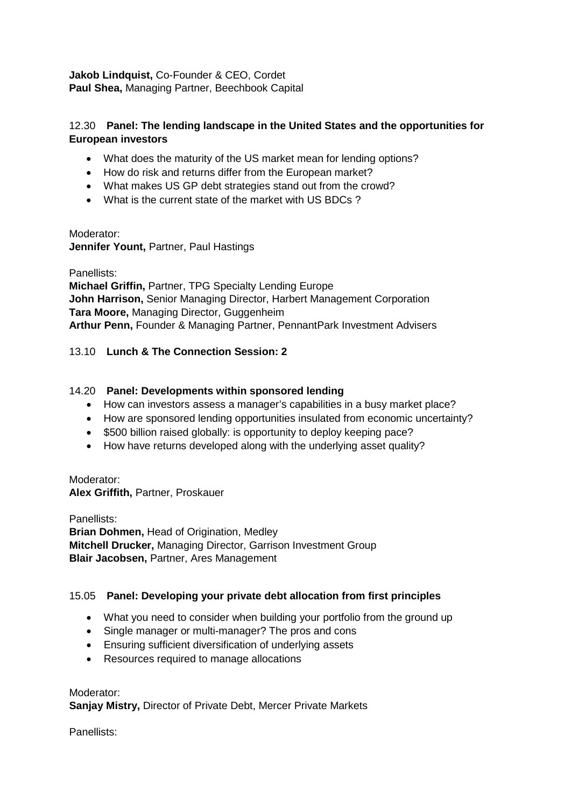**Jakob Lindquist,** Co-Founder & CEO, Cordet **Paul Shea,** Managing Partner, Beechbook Capital

# 12.30 **Panel: The lending landscape in the United States and the opportunities for European investors**

- What does the maturity of the US market mean for lending options?
- How do risk and returns differ from the European market?
- What makes US GP debt strategies stand out from the crowd?
- What is the current state of the market with US BDCs ?

#### Moderator:

**Jennifer Yount,** Partner, Paul Hastings

Panellists:

**Michael Griffin,** Partner, TPG Specialty Lending Europe **John Harrison,** Senior Managing Director, Harbert Management Corporation **Tara Moore,** Managing Director, Guggenheim **Arthur Penn,** Founder & Managing Partner, PennantPark Investment Advisers

# 13.10 **Lunch & The Connection Session: 2**

# 14.20 **Panel: Developments within sponsored lending**

- How can investors assess a manager's capabilities in a busy market place?
- How are sponsored lending opportunities insulated from economic uncertainty?
- \$500 billion raised globally: is opportunity to deploy keeping pace?
- How have returns developed along with the underlying asset quality?

Moderator: **Alex Griffith,** Partner, Proskauer

Panellists: **Brian Dohmen, Head of Origination, Medley Mitchell Drucker,** Managing Director, Garrison Investment Group **Blair Jacobsen,** Partner, Ares Management

# 15.05 **Panel: Developing your private debt allocation from first principles**

- What you need to consider when building your portfolio from the ground up
- Single manager or multi-manager? The pros and cons
- Ensuring sufficient diversification of underlying assets
- Resources required to manage allocations

Moderator: **Sanjay Mistry,** Director of Private Debt, Mercer Private Markets

Panellists: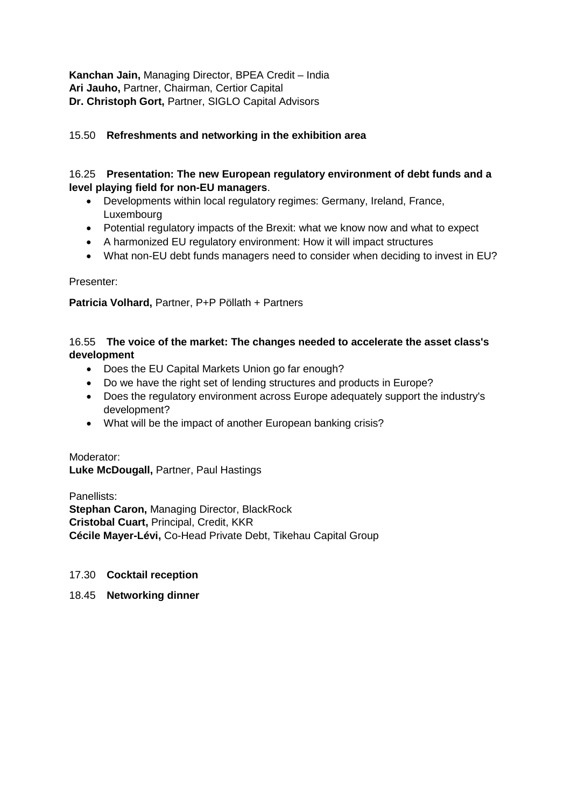**Kanchan Jain,** Managing Director, BPEA Credit – India **Ari Jauho,** Partner, Chairman, Certior Capital **Dr. Christoph Gort,** Partner, SIGLO Capital Advisors

# 15.50 **Refreshments and networking in the exhibition area**

# 16.25 **Presentation: The new European regulatory environment of debt funds and a level playing field for non-EU managers**.

- Developments within local regulatory regimes: Germany, Ireland, France, Luxembourg
- Potential regulatory impacts of the Brexit: what we know now and what to expect
- A harmonized EU regulatory environment: How it will impact structures
- What non-EU debt funds managers need to consider when deciding to invest in EU?

Presenter:

**Patricia Volhard,** Partner, P+P Pöllath + Partners

# 16.55 **The voice of the market: The changes needed to accelerate the asset class's development**

- Does the EU Capital Markets Union go far enough?
- Do we have the right set of lending structures and products in Europe?
- Does the regulatory environment across Europe adequately support the industry's development?
- What will be the impact of another European banking crisis?

Moderator: **Luke McDougall,** Partner, Paul Hastings

Panellists: **Stephan Caron,** Managing Director, BlackRock **Cristobal Cuart,** Principal, Credit, KKR **Cécile Mayer-Lévi,** Co-Head Private Debt, Tikehau Capital Group

#### 17.30 **Cocktail reception**

18.45 **Networking dinner**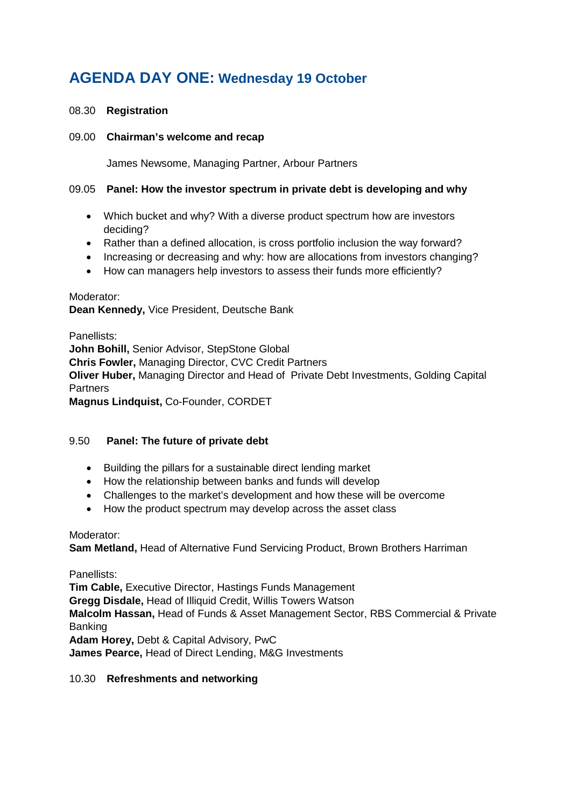# **AGENDA DAY ONE: Wednesday 19 October**

### 08.30 **Registration**

#### 09.00 **Chairman's welcome and recap**

James Newsome, Managing Partner, Arbour Partners

#### 09.05 **Panel: How the investor spectrum in private debt is developing and why**

- Which bucket and why? With a diverse product spectrum how are investors deciding?
- Rather than a defined allocation, is cross portfolio inclusion the way forward?
- Increasing or decreasing and why: how are allocations from investors changing?
- How can managers help investors to assess their funds more efficiently?

#### Moderator:

**Dean Kennedy,** Vice President, Deutsche Bank

Panellists: **John Bohill,** Senior Advisor, StepStone Global **Chris Fowler,** Managing Director, CVC Credit Partners **Oliver Huber,** Managing Director and Head of Private Debt Investments, Golding Capital **Partners Magnus Lindquist,** Co-Founder, CORDET

#### 9.50 **Panel: The future of private debt**

- Building the pillars for a sustainable direct lending market
- How the relationship between banks and funds will develop
- Challenges to the market's development and how these will be overcome
- How the product spectrum may develop across the asset class

#### Moderator:

**Sam Metland,** Head of Alternative Fund Servicing Product, Brown Brothers Harriman

Panellists:

**Tim Cable,** Executive Director, Hastings Funds Management **Gregg Disdale,** Head of Illiquid Credit, Willis Towers Watson **Malcolm Hassan,** Head of Funds & Asset Management Sector, RBS Commercial & Private Banking **Adam Horey,** Debt & Capital Advisory, PwC **James Pearce,** Head of Direct Lending, M&G Investments

#### 10.30 **Refreshments and networking**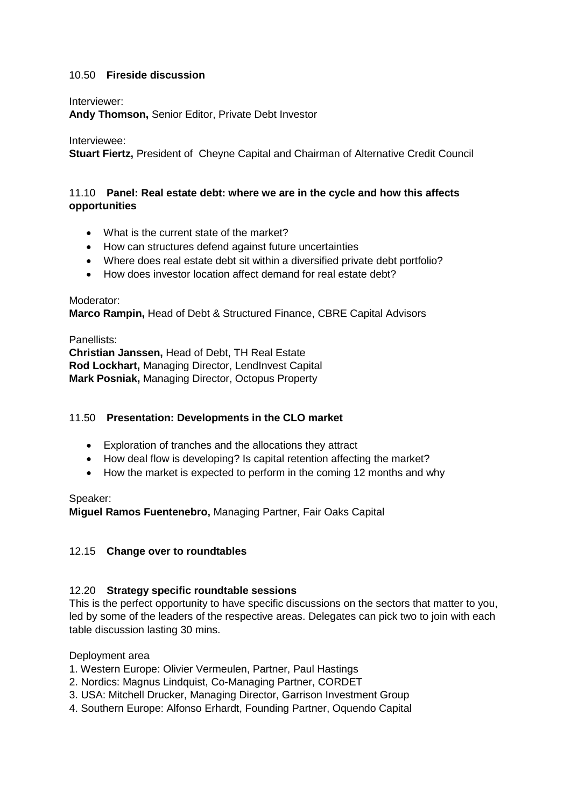# 10.50 **Fireside discussion**

#### Interviewer:

**Andy Thomson,** Senior Editor, Private Debt Investor

#### Interviewee:

**Stuart Fiertz,** President of Cheyne Capital and Chairman of Alternative Credit Council

#### 11.10 **Panel: Real estate debt: where we are in the cycle and how this affects opportunities**

- What is the current state of the market?
- How can structures defend against future uncertainties
- Where does real estate debt sit within a diversified private debt portfolio?
- How does investor location affect demand for real estate debt?

#### Moderator:

**Marco Rampin,** Head of Debt & Structured Finance, CBRE Capital Advisors

#### Panellists:

**Christian Janssen,** Head of Debt, TH Real Estate **Rod Lockhart,** Managing Director, LendInvest Capital **Mark Posniak,** Managing Director, Octopus Property

#### 11.50 **Presentation: Developments in the CLO market**

- Exploration of tranches and the allocations they attract
- How deal flow is developing? Is capital retention affecting the market?
- How the market is expected to perform in the coming 12 months and why

#### Speaker:

**Miguel Ramos Fuentenebro,** Managing Partner, Fair Oaks Capital

#### 12.15 **Change over to roundtables**

#### 12.20 **Strategy specific roundtable sessions**

This is the perfect opportunity to have specific discussions on the sectors that matter to you, led by some of the leaders of the respective areas. Delegates can pick two to join with each table discussion lasting 30 mins.

#### Deployment area

- 1. Western Europe: Olivier Vermeulen, Partner, Paul Hastings
- 2. Nordics: Magnus Lindquist, Co-Managing Partner, CORDET
- 3. USA: Mitchell Drucker, Managing Director, Garrison Investment Group
- 4. Southern Europe: Alfonso Erhardt, Founding Partner, Oquendo Capital